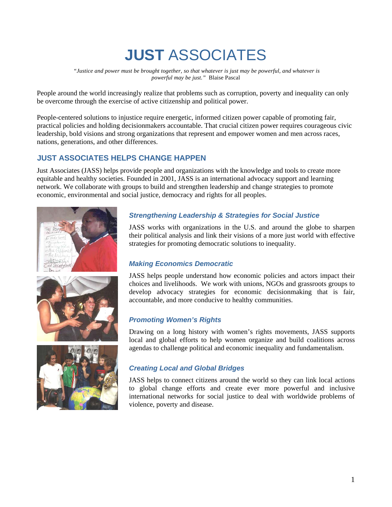# **JUST** ASSOCIATES

 *"Justice and power must be brought together, so that whatever is just may be powerful, and whatever is powerful may be just."* Blaise Pascal

People around the world increasingly realize that problems such as corruption, poverty and inequality can only be overcome through the exercise of active citizenship and political power.

People-centered solutions to injustice require energetic, informed citizen power capable of promoting fair, practical policies and holding decisionmakers accountable. That crucial citizen power requires courageous civic leadership, bold visions and strong organizations that represent and empower women and men across races, nations, generations, and other differences.

# **JUST ASSOCIATES HELPS CHANGE HAPPEN**

Just Associates (JASS) helps provide people and organizations with the knowledge and tools to create more equitable and healthy societies. Founded in 2001, JASS is an international advocacy support and learning network. We collaborate with groups to build and strengthen leadership and change strategies to promote economic, environmental and social justice, democracy and rights for all peoples.







# *Strengthening Leadership & Strategies for Social Justice*

JASS works with organizations in the U.S. and around the globe to sharpen their political analysis and link their visions of a more just world with effective strategies for promoting democratic solutions to inequality.

## *Making Economics Democratic*

JASS helps people understand how economic policies and actors impact their choices and livelihoods. We work with unions, NGOs and grassroots groups to develop advocacy strategies for economic decisionmaking that is fair, accountable, and more conducive to healthy communities.

## *Promoting Women's Rights*

Drawing on a long history with women's rights movements, JASS supports local and global efforts to help women organize and build coalitions across agendas to challenge political and economic inequality and fundamentalism.

## *Creating Local and Global Bridges*

JASS helps to connect citizens around the world so they can link local actions to global change efforts and create ever more powerful and inclusive international networks for social justice to deal with worldwide problems of violence, poverty and disease.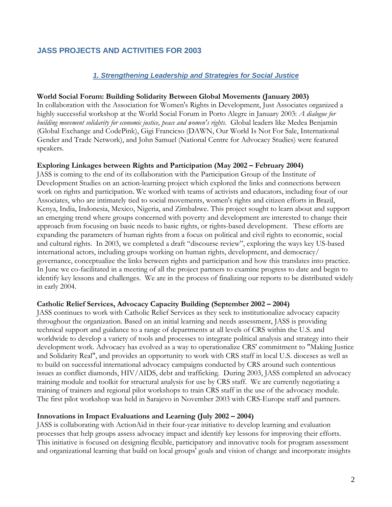# **JASS PROJECTS AND ACTIVITIES FOR 2003**

## *1. Strengthening Leadership and Strategies for Social Justice*

#### **World Social Forum: Building Solidarity Between Global Movements (January 2003)**

In collaboration with the Association for Women's Rights in Development, Just Associates organized a highly successful workshop at the World Social Forum in Porto Alegre in January 2003: *A dialogue for building movement solidarity for economic justice, peace and women's rights*. Global leaders like Medea Benjamin (Global Exchange and CodePink), Gigi Francicso (DAWN, Our World Is Not For Sale, International Gender and Trade Network), and John Samuel (National Centre for Advocacy Studies) were featured speakers.

#### **Exploring Linkages between Rights and Participation (May 2002 – February 2004)**

JASS is coming to the end of its collaboration with the Participation Group of the Institute of Development Studies on an action-learning project which explored the links and connections between work on rights and participation. We worked with teams of activists and educators, including four of our Associates, who are intimately tied to social movements, women's rights and citizen efforts in Brazil, Kenya, India, Indonesia, Mexico, Nigeria, and Zimbabwe. This project sought to learn about and support an emerging trend where groups concerned with poverty and development are interested to change their approach from focusing on basic needs to basic rights, or rights-based development. These efforts are expanding the parameters of human rights from a focus on political and civil rights to economic, social and cultural rights. In 2003, we completed a draft "discourse review", exploring the ways key US-based international actors, including groups working on human rights, development, and democracy/ governance, conceptualize the links between rights and participation and how this translates into practice. In June we co-facilitated in a meeting of all the project partners to examine progress to date and begin to identify key lessons and challenges. We are in the process of finalizing our reports to be distributed widely in early 2004.

#### **Catholic Relief Services, Advocacy Capacity Building (September 2002 – 2004)**

JASS continues to work with Catholic Relief Services as they seek to institutionalize advocacy capacity throughout the organization. Based on an initial learning and needs assessment, JASS is providing technical support and guidance to a range of departments at all levels of CRS within the U.S. and worldwide to develop a variety of tools and processes to integrate political analysis and strategy into their development work. Advocacy has evolved as a way to operationalize CRS' commitment to "Making Justice and Solidarity Real", and provides an opportunity to work with CRS staff in local U.S. dioceses as well as to build on successful international advocacy campaigns conducted by CRS around such contentious issues as conflict diamonds, HIV/AIDS, debt and trafficking. During 2003, JASS completed an advocacy training module and toolkit for structural analysis for use by CRS staff. We are currently negotiating a training of trainers and regional pilot workshops to train CRS staff in the use of the advocacy module. The first pilot workshop was held in Sarajevo in November 2003 with CRS-Europe staff and partners.

#### **Innovations in Impact Evaluations and Learning (July 2002 – 2004)**

JASS is collaborating with ActionAid in their four-year initiative to develop learning and evaluation processes that help groups assess advocacy impact and identify key lessons for improving their efforts. This initiative is focused on designing flexible, participatory and innovative tools for program assessment and organizational learning that build on local groups' goals and vision of change and incorporate insights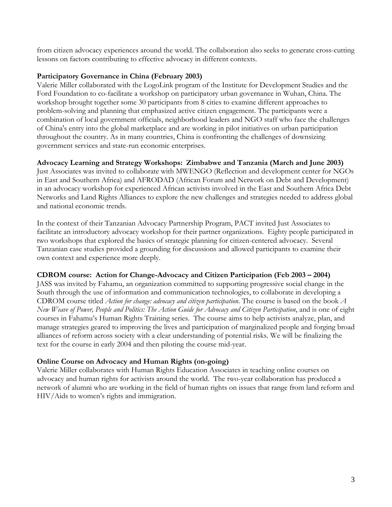from citizen advocacy experiences around the world. The collaboration also seeks to generate cross-cutting lessons on factors contributing to effective advocacy in different contexts.

## **Participatory Governance in China (February 2003)**

Valerie Miller collaborated with the LogoLink program of the Institute for Development Studies and the Ford Foundation to co-facilitate a workshop on participatory urban governance in Wuhan, China. The workshop brought together some 30 participants from 8 cities to examine different approaches to problem-solving and planning that emphasized active citizen engagement. The participants were a combination of local government officials, neighborhood leaders and NGO staff who face the challenges of China's entry into the global marketplace and are working in pilot initiatives on urban participation throughout the country. As in many countries, China is confronting the challenges of downsizing government services and state-run economic enterprises.

## **Advocacy Learning and Strategy Workshops: Zimbabwe and Tanzania (March and June 2003)**

Just Associates was invited to collaborate with MWENGO (Reflection and development center for NGOs in East and Southern Africa) and AFRODAD (African Forum and Network on Debt and Development) in an advocacy workshop for experienced African activists involved in the East and Southern Africa Debt Networks and Land Rights Alliances to explore the new challenges and strategies needed to address global and national economic trends.

In the context of their Tanzanian Advocacy Partnership Program, PACT invited Just Associates to facilitate an introductory advocacy workshop for their partner organizations. Eighty people participated in two workshops that explored the basics of strategic planning for citizen-centered advocacy. Several Tanzanian case studies provided a grounding for discussions and allowed participants to examine their own context and experience more deeply.

## **CDROM course: Action for Change-Advocacy and Citizen Participation (Feb 2003 – 2004)**

JASS was invited by Fahamu, an organization committed to supporting progressive social change in the South through the use of information and communication technologies, to collaborate in developing a CDROM course titled *Action for change: advocacy and citizen participation*. The course is based on the book *A New Weave of Power, People and Politics: The Action Guide for Advocacy and Citizen Participation*, and is one of eight courses in Fahamu's Human Rights Training series. The course aims to help activists analyze, plan, and manage strategies geared to improving the lives and participation of marginalized people and forging broad alliances of reform across society with a clear understanding of potential risks. We will be finalizing the text for the course in early 2004 and then piloting the course mid-year.

## **Online Course on Advocacy and Human Rights (on-going)**

Valerie Miller collaborates with Human Rights Education Associates in teaching online courses on advocacy and human rights for activists around the world. The two-year collaboration has produced a network of alumni who are working in the field of human rights on issues that range from land reform and HIV/Aids to women's rights and immigration.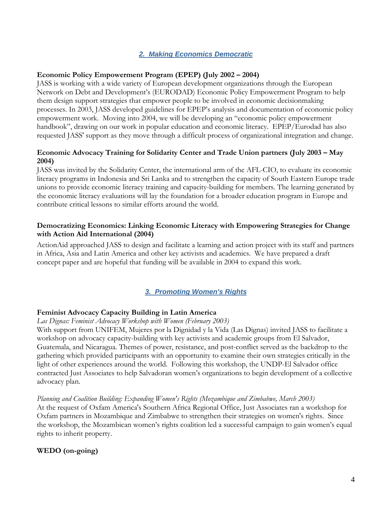## *2. Making Economics Democratic*

#### **Economic Policy Empowerment Program (EPEP) (July 2002 – 2004)**

JASS is working with a wide variety of European development organizations through the European Network on Debt and Development's (EURODAD) Economic Policy Empowerment Program to help them design support strategies that empower people to be involved in economic decisionmaking processes. In 2003, JASS developed guidelines for EPEP's analysis and documentation of economic policy empowerment work. Moving into 2004, we will be developing an "economic policy empowerment handbook", drawing on our work in popular education and economic literacy. EPEP/Eurodad has also requested JASS' support as they move through a difficult process of organizational integration and change.

## **Economic Advocacy Training for Solidarity Center and Trade Union partners (July 2003 – May 2004)**

JASS was invited by the Solidarity Center, the international arm of the AFL-CIO, to evaluate its economic literacy programs in Indonesia and Sri Lanka and to strengthen the capacity of South Eastern Europe trade unions to provide economic literacy training and capacity-building for members. The learning generated by the economic literacy evaluations will lay the foundation for a broader education program in Europe and contribute critical lessons to similar efforts around the world.

## **Democratizing Economics: Linking Economic Literacy with Empowering Strategies for Change with Action Aid International (2004)**

ActionAid approached JASS to design and facilitate a learning and action project with its staff and partners in Africa, Asia and Latin America and other key activists and academics. We have prepared a draft concept paper and are hopeful that funding will be available in 2004 to expand this work.

## *3. Promoting Women's Rights*

#### **Feminist Advocacy Capacity Building in Latin America**

#### *Las Dignas: Feminist Advocacy Workshop with Women (February 2003)*

With support from UNIFEM, Mujeres por la Dignidad y la Vida (Las Dignas) invited JASS to facilitate a workshop on advocacy capacity-building with key activists and academic groups from El Salvador, Guatemala, and Nicaragua. Themes of power, resistance, and post-conflict served as the backdrop to the gathering which provided participants with an opportunity to examine their own strategies critically in the light of other experiences around the world. Following this workshop, the UNDP-El Salvador office contracted Just Associates to help Salvadoran women's organizations to begin development of a collective advocacy plan.

#### *Planning and Coalition Building: Expanding Women's Rights (Mozambique and Zimbabwe, March 2003)*

At the request of Oxfam America's Southern Africa Regional Office, Just Associates ran a workshop for Oxfam partners in Mozambique and Zimbabwe to strengthen their strategies on women's rights. Since the workshop, the Mozambican women's rights coalition led a successful campaign to gain women's equal rights to inherit property.

## **WEDO (on-going)**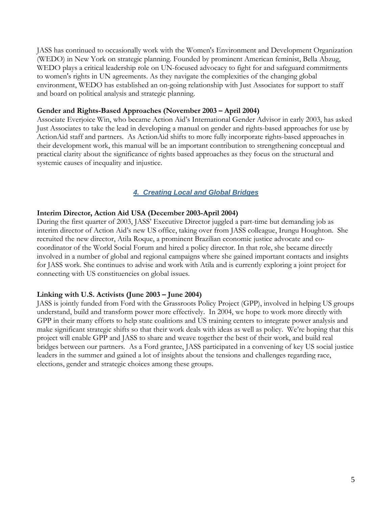JASS has continued to occasionally work with the Women's Environment and Development Organization (WEDO) in New York on strategic planning. Founded by prominent American feminist, Bella Abzug, WEDO plays a critical leadership role on UN-focused advocacy to fight for and safeguard commitments to women's rights in UN agreements. As they navigate the complexities of the changing global environment, WEDO has established an on-going relationship with Just Associates for support to staff and board on political analysis and strategic planning.

#### **Gender and Rights-Based Approaches (November 2003 – April 2004)**

Associate Everjoice Win, who became Action Aid's International Gender Advisor in early 2003, has asked Just Associates to take the lead in developing a manual on gender and rights-based approaches for use by ActionAid staff and partners. As ActionAid shifts to more fully incorporate rights-based approaches in their development work, this manual will be an important contribution to strengthening conceptual and practical clarity about the significance of rights based approaches as they focus on the structural and systemic causes of inequality and injustice.

# *4. Creating Local and Global Bridges*

#### **Interim Director, Action Aid USA (December 2003-April 2004)**

During the first quarter of 2003, JASS' Executive Director juggled a part-time but demanding job as interim director of Action Aid's new US office, taking over from JASS colleague, Irungu Houghton. She recruited the new director, Atila Roque, a prominent Brazilian economic justice advocate and cocoordinator of the World Social Forum and hired a policy director. In that role, she became directly involved in a number of global and regional campaigns where she gained important contacts and insights for JASS work. She continues to advise and work with Atila and is currently exploring a joint project for connecting with US constituencies on global issues.

#### **Linking with U.S. Activists (June 2003 – June 2004)**

JASS is jointly funded from Ford with the Grassroots Policy Project (GPP), involved in helping US groups understand, build and transform power more effectively. In 2004, we hope to work more directly with GPP in their many efforts to help state coalitions and US training centers to integrate power analysis and make significant strategic shifts so that their work deals with ideas as well as policy. We're hoping that this project will enable GPP and JASS to share and weave together the best of their work, and build real bridges between our partners. As a Ford grantee, JASS participated in a convening of key US social justice leaders in the summer and gained a lot of insights about the tensions and challenges regarding race, elections, gender and strategic choices among these groups.